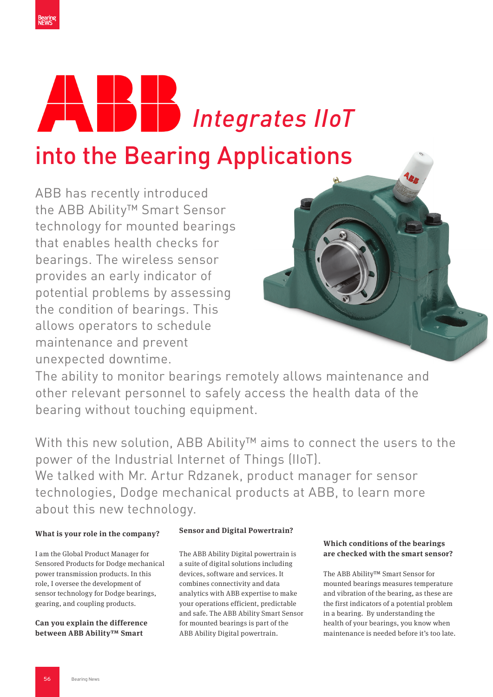



ABB has recently introduced the ABB Ability™ Smart Sensor technology for mounted bearings that enables health checks for bearings. The wireless sensor provides an early indicator of potential problems by assessing the condition of bearings. This allows operators to schedule maintenance and prevent unexpected downtime.



The ability to monitor bearings remotely allows maintenance and other relevant personnel to safely access the health data of the bearing without touching equipment.

With this new solution, ABB Ability™ aims to connect the users to the power of the Industrial Internet of Things (IIoT). We talked with Mr. Artur Rdzanek, product manager for sensor

technologies, Dodge mechanical products at ABB, to learn more about this new technology.

### **What is your role in the company?**

I am the Global Product Manager for Sensored Products for Dodge mechanical power transmission products. In this role, I oversee the development of sensor technology for Dodge bearings, gearing, and coupling products.

**Can you explain the difference between ABB Ability™ Smart** 

# **Sensor and Digital Powertrain?**

The ABB Ability Digital powertrain is a suite of digital solutions including devices, software and services. It combines connectivity and data analytics with ABB expertise to make your operations efficient, predictable and safe. The ABB Ability Smart Sensor for mounted bearings is part of the ABB Ability Digital powertrain.

### **Which conditions of the bearings are checked with the smart sensor?**

The ABB Ability™ Smart Sensor for mounted bearings measures temperature and vibration of the bearing, as these are the first indicators of a potential problem in a bearing. By understanding the health of your bearings, you know when maintenance is needed before it's too late.